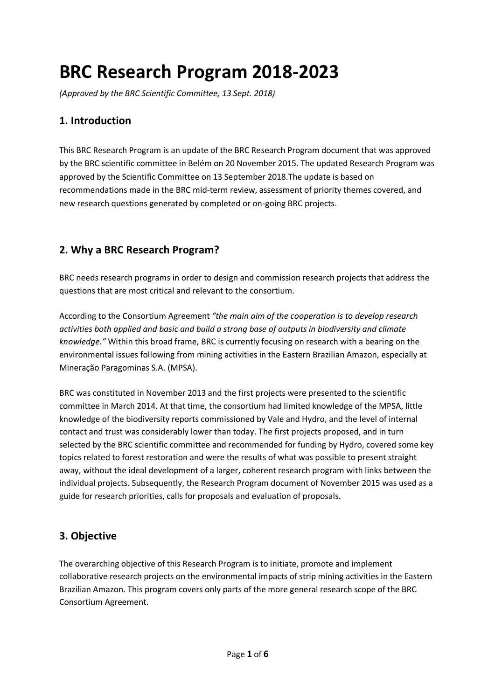# **BRC Research Program 2018-2023**

*(Approved by the BRC Scientific Committee, 13 Sept. 2018)*

## **1. Introduction**

This BRC Research Program is an update of the BRC Research Program document that was approved by the BRC scientific committee in Belém on 20 November 2015. The updated Research Program was approved by the Scientific Committee on 13 September 2018.The update is based on recommendations made in the BRC mid-term review, assessment of priority themes covered, and new research questions generated by completed or on-going BRC projects.

# **2. Why a BRC Research Program?**

BRC needs research programs in order to design and commission research projects that address the questions that are most critical and relevant to the consortium.

According to the Consortium Agreement *"the main aim of the cooperation is to develop research activities both applied and basic and build a strong base of outputs in biodiversity and climate knowledge."* Within this broad frame, BRC is currently focusing on research with a bearing on the environmental issues following from mining activities in the Eastern Brazilian Amazon, especially at Mineração Paragominas S.A. (MPSA).

BRC was constituted in November 2013 and the first projects were presented to the scientific committee in March 2014. At that time, the consortium had limited knowledge of the MPSA, little knowledge of the biodiversity reports commissioned by Vale and Hydro, and the level of internal contact and trust was considerably lower than today. The first projects proposed, and in turn selected by the BRC scientific committee and recommended for funding by Hydro, covered some key topics related to forest restoration and were the results of what was possible to present straight away, without the ideal development of a larger, coherent research program with links between the individual projects. Subsequently, the Research Program document of November 2015 was used as a guide for research priorities, calls for proposals and evaluation of proposals.

## **3. Objective**

The overarching objective of this Research Program is to initiate, promote and implement collaborative research projects on the environmental impacts of strip mining activities in the Eastern Brazilian Amazon. This program covers only parts of the more general research scope of the BRC Consortium Agreement.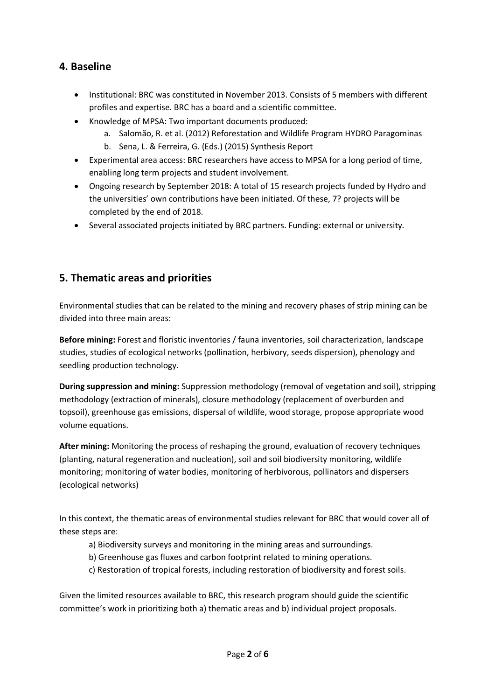# **4. Baseline**

- Institutional: BRC was constituted in November 2013. Consists of 5 members with different profiles and expertise. BRC has a board and a scientific committee.
- Knowledge of MPSA: Two important documents produced:
	- a. Salomão, R. et al. (2012) Reforestation and Wildlife Program HYDRO Paragominas
	- b. Sena, L. & Ferreira, G. (Eds.) (2015) Synthesis Report
- Experimental area access: BRC researchers have access to MPSA for a long period of time, enabling long term projects and student involvement.
- Ongoing research by September 2018: A total of 15 research projects funded by Hydro and the universities' own contributions have been initiated. Of these, 7? projects will be completed by the end of 2018.
- Several associated projects initiated by BRC partners. Funding: external or university.

## **5. Thematic areas and priorities**

Environmental studies that can be related to the mining and recovery phases of strip mining can be divided into three main areas:

**Before mining:** Forest and floristic inventories / fauna inventories, soil characterization, landscape studies, studies of ecological networks (pollination, herbivory, seeds dispersion), phenology and seedling production technology.

**During suppression and mining:** Suppression methodology (removal of vegetation and soil), stripping methodology (extraction of minerals), closure methodology (replacement of overburden and topsoil), greenhouse gas emissions, dispersal of wildlife, wood storage, propose appropriate wood volume equations.

**After mining:** Monitoring the process of reshaping the ground, evaluation of recovery techniques (planting, natural regeneration and nucleation), soil and soil biodiversity monitoring, wildlife monitoring; monitoring of water bodies, monitoring of herbivorous, pollinators and dispersers (ecological networks)

In this context, the thematic areas of environmental studies relevant for BRC that would cover all of these steps are:

- a) Biodiversity surveys and monitoring in the mining areas and surroundings.
- b) Greenhouse gas fluxes and carbon footprint related to mining operations.
- c) Restoration of tropical forests, including restoration of biodiversity and forest soils.

Given the limited resources available to BRC, this research program should guide the scientific committee's work in prioritizing both a) thematic areas and b) individual project proposals.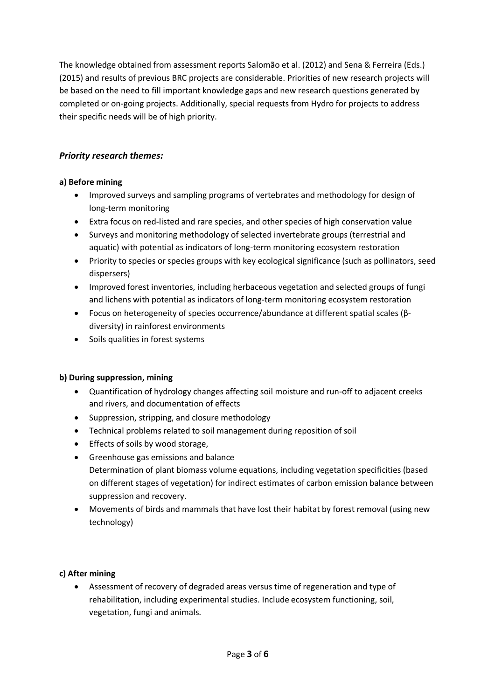The knowledge obtained from assessment reports Salomão et al. (2012) and Sena & Ferreira (Eds.) (2015) and results of previous BRC projects are considerable. Priorities of new research projects will be based on the need to fill important knowledge gaps and new research questions generated by completed or on-going projects. Additionally, special requests from Hydro for projects to address their specific needs will be of high priority.

## *Priority research themes:*

## **a) Before mining**

- Improved surveys and sampling programs of vertebrates and methodology for design of long-term monitoring
- Extra focus on red-listed and rare species, and other species of high conservation value
- Surveys and monitoring methodology of selected invertebrate groups (terrestrial and aquatic) with potential as indicators of long-term monitoring ecosystem restoration
- Priority to species or species groups with key ecological significance (such as pollinators, seed dispersers)
- Improved forest inventories, including herbaceous vegetation and selected groups of fungi and lichens with potential as indicators of long-term monitoring ecosystem restoration
- Focus on heterogeneity of species occurrence/abundance at different spatial scales (βdiversity) in rainforest environments
- Soils qualities in forest systems

#### **b) During suppression, mining**

- Quantification of hydrology changes affecting soil moisture and run-off to adjacent creeks and rivers, and documentation of effects
- Suppression, stripping, and closure methodology
- Technical problems related to soil management during reposition of soil
- Effects of soils by wood storage,
- Greenhouse gas emissions and balance Determination of plant biomass volume equations, including vegetation specificities (based on different stages of vegetation) for indirect estimates of carbon emission balance between suppression and recovery.
- Movements of birds and mammals that have lost their habitat by forest removal (using new technology)

#### **c) After mining**

• Assessment of recovery of degraded areas versus time of regeneration and type of rehabilitation, including experimental studies. Include ecosystem functioning, soil, vegetation, fungi and animals.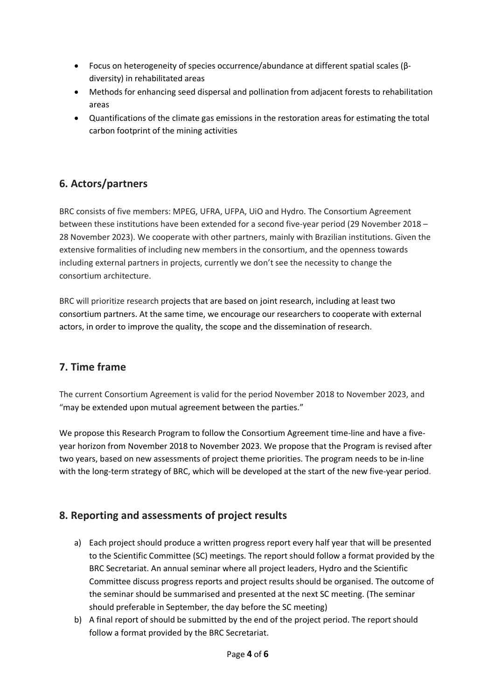- Focus on heterogeneity of species occurrence/abundance at different spatial scales (βdiversity) in rehabilitated areas
- Methods for enhancing seed dispersal and pollination from adjacent forests to rehabilitation areas
- Quantifications of the climate gas emissions in the restoration areas for estimating the total carbon footprint of the mining activities

# **6. Actors/partners**

BRC consists of five members: MPEG, UFRA, UFPA, UiO and Hydro. The Consortium Agreement between these institutions have been extended for a second five-year period (29 November 2018 – 28 November 2023). We cooperate with other partners, mainly with Brazilian institutions. Given the extensive formalities of including new members in the consortium, and the openness towards including external partners in projects, currently we don't see the necessity to change the consortium architecture.

BRC will prioritize research projects that are based on joint research, including at least two consortium partners. At the same time, we encourage our researchers to cooperate with external actors, in order to improve the quality, the scope and the dissemination of research.

# **7. Time frame**

The current Consortium Agreement is valid for the period November 2018 to November 2023, and "may be extended upon mutual agreement between the parties."

We propose this Research Program to follow the Consortium Agreement time-line and have a fiveyear horizon from November 2018 to November 2023. We propose that the Program is revised after two years, based on new assessments of project theme priorities. The program needs to be in-line with the long-term strategy of BRC, which will be developed at the start of the new five-year period.

# **8. Reporting and assessments of project results**

- a) Each project should produce a written progress report every half year that will be presented to the Scientific Committee (SC) meetings. The report should follow a format provided by the BRC Secretariat. An annual seminar where all project leaders, Hydro and the Scientific Committee discuss progress reports and project results should be organised. The outcome of the seminar should be summarised and presented at the next SC meeting. (The seminar should preferable in September, the day before the SC meeting)
- b) A final report of should be submitted by the end of the project period. The report should follow a format provided by the BRC Secretariat.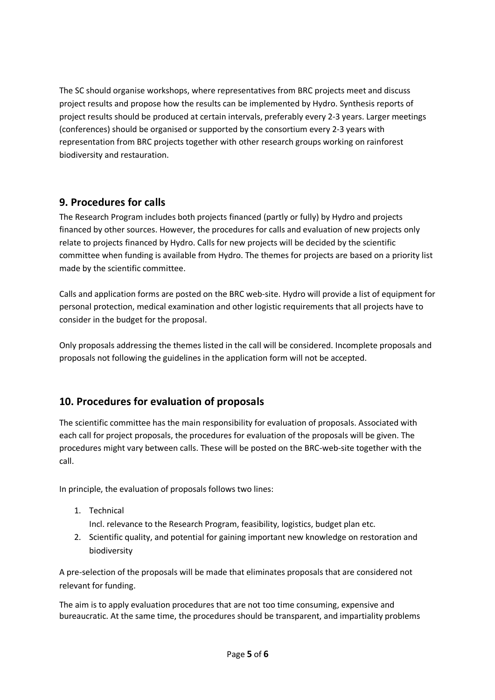The SC should organise workshops, where representatives from BRC projects meet and discuss project results and propose how the results can be implemented by Hydro. Synthesis reports of project results should be produced at certain intervals, preferably every 2-3 years. Larger meetings (conferences) should be organised or supported by the consortium every 2-3 years with representation from BRC projects together with other research groups working on rainforest biodiversity and restauration.

# **9. Procedures for calls**

The Research Program includes both projects financed (partly or fully) by Hydro and projects financed by other sources. However, the procedures for calls and evaluation of new projects only relate to projects financed by Hydro. Calls for new projects will be decided by the scientific committee when funding is available from Hydro. The themes for projects are based on a priority list made by the scientific committee.

Calls and application forms are posted on the BRC web-site. Hydro will provide a list of equipment for personal protection, medical examination and other logistic requirements that all projects have to consider in the budget for the proposal.

Only proposals addressing the themes listed in the call will be considered. Incomplete proposals and proposals not following the guidelines in the application form will not be accepted.

# **10. Procedures for evaluation of proposals**

The scientific committee has the main responsibility for evaluation of proposals. Associated with each call for project proposals, the procedures for evaluation of the proposals will be given. The procedures might vary between calls. These will be posted on the BRC-web-site together with the call.

In principle, the evaluation of proposals follows two lines:

1. Technical

Incl. relevance to the Research Program, feasibility, logistics, budget plan etc.

2. Scientific quality, and potential for gaining important new knowledge on restoration and biodiversity

A pre-selection of the proposals will be made that eliminates proposals that are considered not relevant for funding.

The aim is to apply evaluation procedures that are not too time consuming, expensive and bureaucratic. At the same time, the procedures should be transparent, and impartiality problems